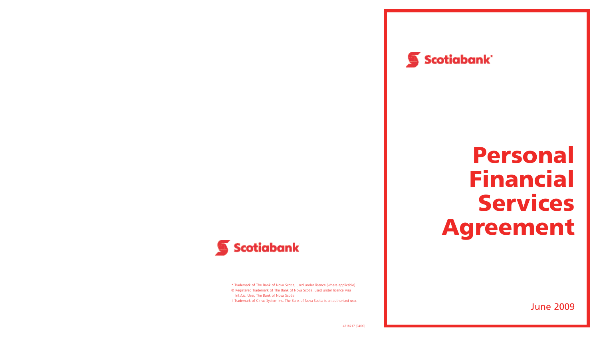

# **Personal Financial Services Agreement**



\* Trademark of The Bank of Nova Scotia, used under licence (where applicable).

® Registered Trademark of The Bank of Nova Scotia, used under licence Visa Int./Lic. User, The Bank of Nova Scotia.

† Trademark of Cirrus System Inc. The Bank of Nova Scotia is an authorised user.

June 2009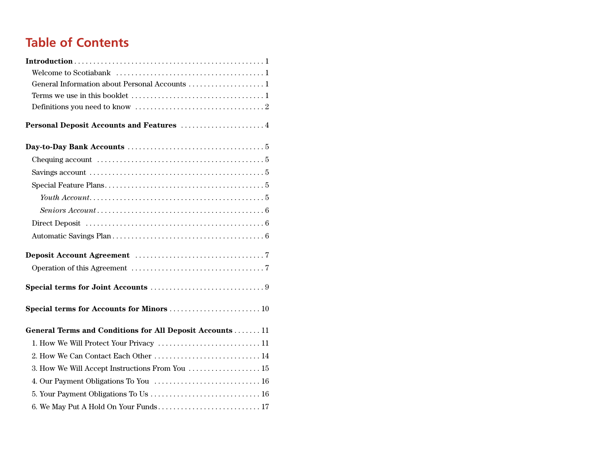### **Table of Contents**

| General Information about Personal Accounts  1                                                               |  |
|--------------------------------------------------------------------------------------------------------------|--|
|                                                                                                              |  |
|                                                                                                              |  |
|                                                                                                              |  |
|                                                                                                              |  |
| Chequing account $\ldots \ldots \ldots \ldots \ldots \ldots \ldots \ldots \ldots \ldots \ldots \ldots$       |  |
| Savings account $\ldots \ldots \ldots \ldots \ldots \ldots \ldots \ldots \ldots \ldots \ldots \ldots \ldots$ |  |
|                                                                                                              |  |
|                                                                                                              |  |
|                                                                                                              |  |
|                                                                                                              |  |
|                                                                                                              |  |
|                                                                                                              |  |
|                                                                                                              |  |
|                                                                                                              |  |
| Special terms for Accounts for Minors  10                                                                    |  |
| General Terms and Conditions for All Deposit Accounts  11                                                    |  |
| 1. How We Will Protect Your Privacy  11                                                                      |  |
| 2. How We Can Contact Each Other  14                                                                         |  |
| 3. How We Will Accept Instructions From You  15                                                              |  |
| 4. Our Payment Obligations To You  16                                                                        |  |
|                                                                                                              |  |
| 6. We May Put A Hold On Your Funds 17                                                                        |  |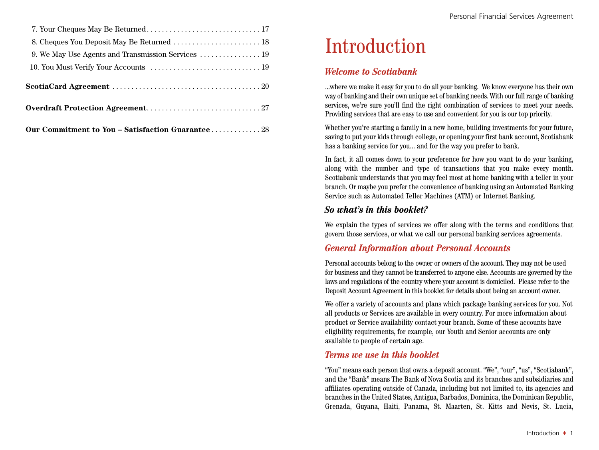| 8. Cheques You Deposit May Be Returned  18         |
|----------------------------------------------------|
| 9. We May Use Agents and Transmission Services  19 |
|                                                    |
|                                                    |
|                                                    |
| Our Commitment to You - Satisfaction Guarantee 28  |

# Introduction

### *Welcome to Scotiabank*

...where we make it easy for you to do all your banking. We know everyone has their own way of banking and their own unique set of banking needs. With our full range of banking services, we're sure you'll find the right combination of services to meet your needs. Providing services that are easy to use and convenient for you is our top priority.

Whether you're starting a family in a new home, building investments for your future, saving to put your kids through college, or opening your first bank account, Scotiabank has a banking service for you... and for the way you prefer to bank.

In fact, it all comes down to your preference for how you want to do your banking, along with the number and type of transactions that you make every month. Scotiabank understands that you may feel most at home banking with a teller in your branch. Or maybe you prefer the convenience of banking using an Automated Banking Service such as Automated Teller Machines (ATM) or Internet Banking.

### *So what's in this booklet?*

We explain the types of services we offer along with the terms and conditions that govern those services, or what we call our personal banking services agreements.

### *General Information about Personal Accounts*

Personal accounts belong to the owner or owners of the account. They may not be used for business and they cannot be transferred to anyone else. Accounts are governed by the laws and regulations of the country where your account is domiciled. Please refer to the Deposit Account Agreement in this booklet for details about being an account owner.

We offer a variety of accounts and plans which package banking services for you. Not all products or Services are available in every country. For more information about product or Service availability contact your branch. Some of these accounts have eligibility requirements, for example, our Youth and Senior accounts are only available to people of certain age.

### *Terms we use in this booklet*

"You" means each person that owns a deposit account. "We", "our", "us", "Scotiabank", and the "Bank" means The Bank of Nova Scotia and its branches and subsidiaries and affiliates operating outside of Canada, including but not limited to, its agencies and branches in the United States, Antigua, Barbados, Dominica, the Dominican Republic, Grenada, Guyana, Haiti, Panama, St. Maarten, St. Kitts and Nevis, St. Lucia,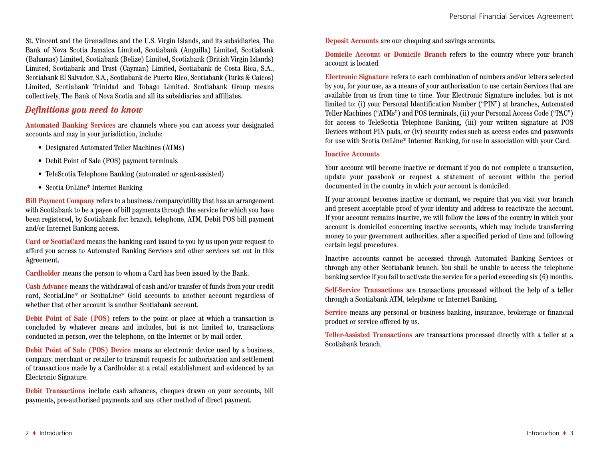St. Vincent and the Grenadines and the U.S. Virgin Islands, and its subsidiaries, The Bank of Nova Scotia Jamaica Limited, Scotiabank (Anguilla) Limited, Scotiabank (Bahamas) Limited, Scotiabank (Belize) Limited, Scotiabank (British Virgin Islands) Limited, Scotiabank and Trust (Cayman) Limited, Scotiabank de Costa Rica, S.A., Scotiabank El Salvador, S.A., Scotiabank de Puerto Rico, Scotiabank (Turks & Caicos) Limited, Scotiabank Trinidad and Tobago Limited. Scotiabank Group means collectively, The Bank of Nova Scotia and all its subsidiaries and affiliates.

### *Definitions you need to know*

**Automated Banking Services** are channels where you can access your designated accounts and may in your jurisdiction, include:

- Designated Automated Teller Machines (ATMs)
- Debit Point of Sale (POS) payment terminals
- TeleScotia Telephone Banking (automated or agent-assisted)
- Scotia OnLine\* Internet Banking

**Bill Payment Company** refers to a business /company/utility that has an arrangement with Scotiabank to be a payee of bill payments through the service for which you have been registered, by Scotiabank for: branch, telephone, ATM, Debit POS bill payment and/or Internet Banking access.

**Card or ScotiaCard** means the banking card issued to you by us upon your request to afford you access to Automated Banking Services and other services set out in this Agreement.

**Cardholder** means the person to whom a Card has been issued by the Bank.

**Cash Advance** means the withdrawal of cash and/or transfer of funds from your credit card, ScotiaLine\* or ScotiaLine\* Gold accounts to another account regardless of whether that other account is another Scotiabank account.

**Debit Point of Sale (POS)** refers to the point or place at which a transaction is concluded by whatever means and includes, but is not limited to, transactions conducted in person, over the telephone, on the Internet or by mail order.

**Debit Point of Sale (POS) Device** means an electronic device used by a business, company, merchant or retailer to transmit requests for authorisation and settlement of transactions made by a Cardholder at a retail establishment and evidenced by an Electronic Signature.

**Debit Transactions** include cash advances, cheques drawn on your accounts, bill payments, pre-authorised payments and any other method of direct payment.

**Deposit Accounts** are our chequing and savings accounts.

**Domicile Account or Domicile Branch** refers to the country where your branch account is located.

**Electronic Signature** refers to each combination of numbers and/or letters selected by you, for your use, as a means of your authorisation to use certain Services that are available from us from time to time. Your Electronic Signature includes, but is not limited to: (i) your Personal Identification Number ("PIN") at branches, Automated Teller Machines ("ATMs") and POS terminals, (ii) your Personal Access Code ("PAC") for access to TeleScotia Telephone Banking, (iii) your written signature at POS Devices without PIN pads, or (iv) security codes such as access codes and passwords for use with Scotia OnLine\* Internet Banking, for use in association with your Card.

#### **Inactive Accounts**

Your account will become inactive or dormant if you do not complete a transaction, update your passbook or request a statement of account within the period documented in the country in which your account is domiciled.

If your account becomes inactive or dormant, we require that you visit your branch and present acceptable proof of your identity and address to reactivate the account. If your account remains inactive, we will follow the laws of the country in which your account is domiciled concerning inactive accounts, which may include transferring money to your government authorities, after a specified period of time and following certain legal procedures.

Inactive accounts cannot be accessed through Automated Banking Services or through any other Scotiabank branch. You shall be unable to access the telephone banking service ifyou fail to activate the service for a period exceeding six (6) months.

**Self-Service Transactions** are transactions processed without the help of a teller through a Scotiabank ATM, telephone or Internet Banking.

**Service** means any personal or business banking, insurance, brokerage or financial product or service offered by us.

**Teller-Assisted Transactions** are transactions processed directly with a teller at a Scotiabank branch.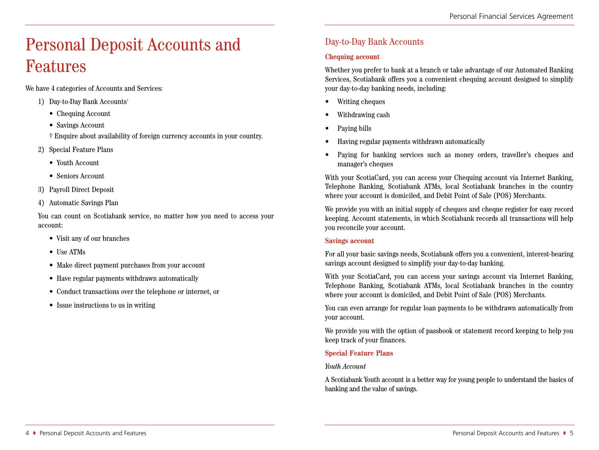# Personal Deposit Accounts and Features

We have 4 categories of Accounts and Services:

- 1) Day-to-Day Bank Accounts†
	- Chequing Account
	- Savings Account
	- † Enquire about availability of foreign currency accounts in your country.
- 2) Special Feature Plans
	- Youth Account
	- Seniors Account
- 3) Payroll Direct Deposit
- 4) Automatic Savings Plan

You can count on Scotiabank service, no matter how you need to access your account:

- Visit any of our branches
- Use ATMs
- Make direct payment purchases from your account
- Have regular payments withdrawn automatically
- Conduct transactions over the telephone or internet, or
- Issue instructions to us in writing

### Day-to-Day Bank Accounts

#### **Chequing account**

Whether you prefer to bank at a branch or take advantage of our Automated Banking Services, Scotiabank offers you a convenient chequing account designed to simplify your day-to-day banking needs, including:

- Writing cheques
- Withdrawing cash
- Paving bills
- Having regular payments withdrawn automatically
- Paying for banking services such as money orders, traveller's cheques and manager's cheques

With your ScotiaCard, you can access your Chequing account via Internet Banking, Telephone Banking, Scotiabank ATMs, local Scotiabank branches in the country where your account is domiciled, and Debit Point of Sale (POS) Merchants.

We provide you with an initial supply of cheques and cheque register for easy record keeping. Account statements, in which Scotiabank records all transactions will help you reconcile your account.

#### **Savings account**

For all your basic savings needs, Scotiabank offers you a convenient, interest-bearing savings account designed to simplify your day-to-day banking.

With your ScotiaCard, you can access your savings account via Internet Banking, Telephone Banking, Scotiabank ATMs, local Scotiabank branches in the country where your account is domiciled, and Debit Point of Sale (POS) Merchants.

You can even arrange for regular loan payments to be withdrawn automatically from your account.

We provide you with the option of passbook or statement record keeping to help you keep track of your finances.

#### **Special Feature Plans**

#### *Youth Account*

A Scotiabank Youth account is a better way for young people to understand the basics of banking and the value of savings.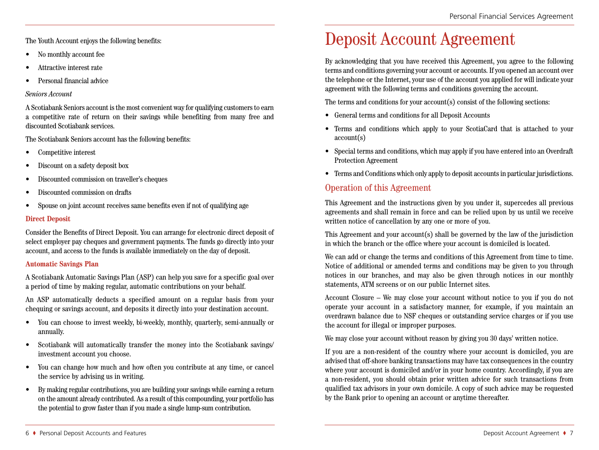The Youth Account enjoys the following benefits:

- No monthly account fee
- Attractive interest rate
- Personal financial advice

#### *Seniors Account*

A Scotiabank Seniors account isthe most convenient wayfor qualifying customersto earn a competitive rate of return on their savings while benefiting from many free and discounted Scotiabank services.

The Scotiabank Seniors account has the following benefits:

- Competitive interest
- Discount on a safety deposit box
- Discounted commission on traveller's cheques
- Discounted commission on drafts
- Spouse on joint account receives same benefits even if not of qualifying age

#### **Direct Deposit**

Consider the Benefits of Direct Deposit. You can arrange for electronic direct deposit of select employer pay cheques and government payments. The funds go directly into your account, and access to the funds is available immediately on the day of deposit.

#### **Automatic Savings Plan**

A Scotiabank Automatic Savings Plan (ASP) can help you save for a specific goal over a period of time by making regular, automatic contributions on your behalf.

An ASP automatically deducts a specified amount on a regular basis from your chequing or savings account, and deposits it directly into your destination account.

- You can choose to invest weekly, bi-weekly, monthly, quarterly, semi-annually or annually.
- Scotiabank will automatically transfer the money into the Scotiabank savings/ investment account you choose.
- You can change how much and how often you contribute at any time, or cancel the service by advising us in writing.
- By making regular contributions,you are building your savings while earning a return on the amount already contributed. As a result of this compounding,your portfolio has the potential to grow faster than if you made a single lump-sum contribution.

### Deposit Account Agreement

By acknowledging that you have received this Agreement, you agree to the following terms and conditions governing your account or accounts. Ifyou opened an account over the telephone or the Internet, your use of the account you applied for will indicate your agreement with the following terms and conditions governing the account.

The terms and conditions for your account(s) consist of the following sections:

- General terms and conditions for all Deposit Accounts
- Terms and conditions which apply to your ScotiaCard that is attached to your account(s)
- Special terms and conditions, which may apply if you have entered into an Overdraft Protection Agreement
- Terms and Conditions which only apply to deposit accounts in particular jurisdictions.

### Operation of this Agreement

This Agreement and the instructions given by you under it, supercedes all previous agreements and shall remain in force and can be relied upon by us until we receive written notice of cancellation by any one or more of you.

This Agreement and your account(s) shall be governed by the law of the jurisdiction in which the branch or the office where your account is domiciled is located.

We can add or change the terms and conditions of this Agreement from time to time. Notice of additional or amended terms and conditions may be given to you through notices in our branches, and may also be given through notices in our monthly statements, ATM screens or on our public Internet sites.

Account Closure – We may close your account without notice to you if you do not operate your account in a satisfactory manner, for example, if you maintain an overdrawn balance due to NSF cheques or outstanding service charges or if you use the account for illegal or improper purposes.

We may close your account without reason by giving you 30 days' written notice.

If you are a non-resident of the country where your account is domiciled, you are advised that off-shore banking transactions may have tax consequences in the country where your account is domiciled and/or in your home country. Accordingly, if you are a non-resident, you should obtain prior written advice for such transactions from qualified tax advisors in your own domicile. A copy of such advice may be requested by the Bank prior to opening an account or anytime thereafter.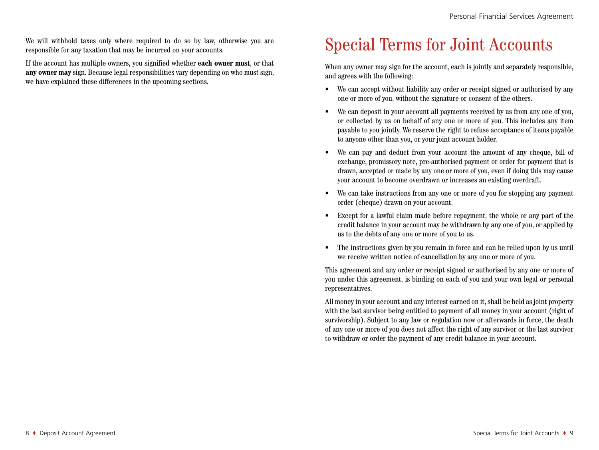We will withhold taxes only where required to do so by law, otherwise you are responsible for any taxation that may be incurred on your accounts.

If the account has multiple owners, you signified whether **each owner must**, or that **any owner may** sign. Because legal responsibilities vary depending on who must sign, we have explained these differences in the upcoming sections.

# Special Terms for Joint Accounts

When any owner may sign for the account, each is jointly and separately responsible, and agrees with the following:

- We can accept without liability any order or receipt signed or authorised by any one or more of you, without the signature or consent of the others.
- We can deposit in your account all payments received by us from any one of you, or collected by us on behalf of any one or more of you. This includes any item payable to you jointly. We reserve the right to refuse acceptance of items payable to anyone other than you, or your joint account holder.
- We can pay and deduct from your account the amount of any cheque, bill of exchange, promissory note, pre-authorised payment or order for payment that is drawn, accepted or made by any one or more of you, even if doing this may cause your account to become overdrawn or increases an existing overdraft.
- We can take instructions from any one or more of you for stopping any payment order (cheque) drawn on your account.
- Except for a lawful claim made before repayment, the whole or any part of the credit balance in your account may be withdrawn by any one of you, or applied by us to the debts of any one or more of you to us.
- The instructions given by you remain in force and can be relied upon by us until we receive written notice of cancellation by any one or more of you.

This agreement and any order or receipt signed or authorised by any one or more of you under this agreement, is binding on each of you and your own legal or personal representatives.

All money in your account and any interest earned on it, shall be held as joint property with the last survivor being entitled to payment of all money in your account (right of survivorship). Subject to any law or regulation now or afterwards in force, the death of any one or more of you does not affect the right of any survivor or the last survivor to withdraw or order the payment of any credit balance in your account.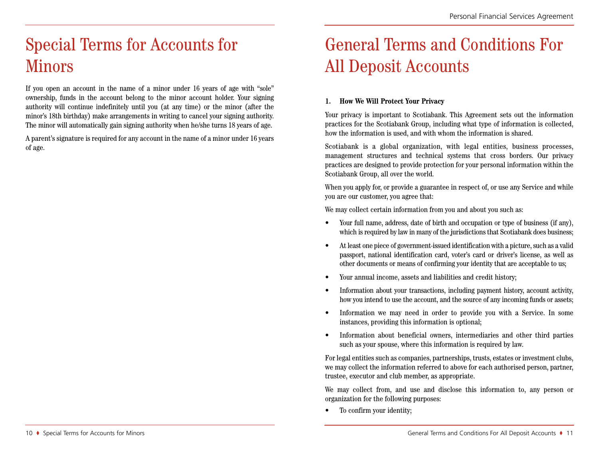# Special Terms for Accounts for Minors

If you open an account in the name of a minor under 16 years of age with "sole" ownership, funds in the account belong to the minor account holder. Your signing authority will continue indefinitely until you (at any time) or the minor (after the minor's 18th birthday) make arrangements in writing to cancel your signing authority. The minor will automatically gain signing authority when he/she turns 18 years of age.

A parent's signature is required for any account in the name of a minor under 16 years of age.

# General Terms and Conditions For All Deposit Accounts

#### **1. How We Will Protect Your Privacy**

Your privacy is important to Scotiabank. This Agreement sets out the information practices for the Scotiabank Group, including what type of information is collected, how the information is used, and with whom the information is shared.

Scotiabank is a global organization, with legal entities, business processes, management structures and technical systems that cross borders. Our privacy practices are designed to provide protection for your personal information within the Scotiabank Group, all over the world.

When you apply for, or provide a guarantee in respect of, or use any Service and while you are our customer, you agree that:

We may collect certain information from you and about you such as:

- Your full name, address, date of birth and occupation or type of business (if any), which is required by law in many of the jurisdictions that Scotiabank does business;
- At least one piece of government-issued identification with a picture, such as a valid passport, national identification card, voter's card or driver's license, as well as other documents or means of confirming your identity that are acceptable to us;
- Your annual income, assets and liabilities and credit history;
- Information about your transactions, including payment history, account activity, how you intend to use the account, and the source of any incoming funds or assets;
- Information we may need in order to provide you with a Service. In some instances, providing this information is optional;
- Information about beneficial owners, intermediaries and other third parties such as your spouse, where this information is required by law.

For legal entities such as companies, partnerships, trusts, estates or investment clubs, we may collect the information referred to above for each authorised person, partner, trustee, executor and club member, as appropriate.

We may collect from, and use and disclose this information to, any person or organization for the following purposes:

• To confirm your identity;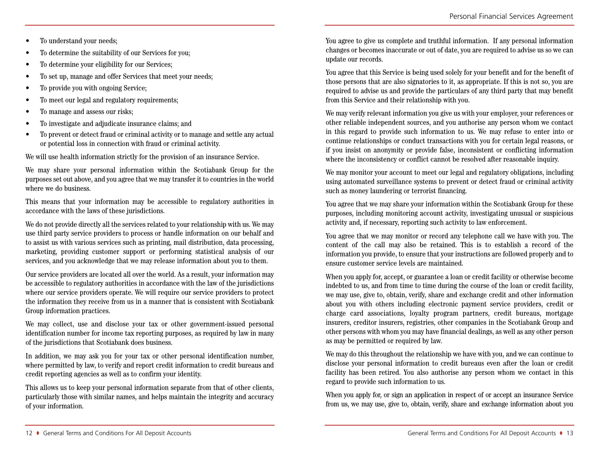- To understand your needs;
- To determine the suitability of our Services for you;
- To determine your eligibility for our Services;
- To set up, manage and offer Services that meet your needs:
- To provide you with ongoing Service;
- To meet our legal and regulatory requirements;
- To manage and assess our risks;
- To investigate and adjudicate insurance claims; and
- To prevent or detect fraud or criminal activity or to manage and settle any actual or potential loss in connection with fraud or criminal activity.

We will use health information strictly for the provision of an insurance Service.

We may share your personal information within the Scotiabank Group for the purposes set out above, and you agree that we may transfer it to countries in the world where we do business.

This means that your information may be accessible to regulatory authorities in accordance with the laws of these jurisdictions.

We do not provide directly all the services related to your relationship with us. We may use third party service providers to process or handle information on our behalf and to assist us with various services such as printing, mail distribution, data processing, marketing, providing customer support or performing statistical analysis of our services, and you acknowledge that we may release information about you to them.

Our service providers are located all over the world. As a result, your information may be accessible to regulatory authorities in accordance with the law of the jurisdictions where our service providers operate. We will require our service providers to protect the information they receive from us in a manner that is consistent with Scotiabank Group information practices.

We may collect, use and disclose your tax or other government-issued personal identification number for income tax reporting purposes, as required by law in many of the jurisdictions that Scotiabank does business.

In addition, we may ask you for your tax or other personal identification number, where permitted by law, to verify and report credit information to credit bureaus and credit reporting agencies as well as to confirm your identity.

This allows us to keep your personal information separate from that of other clients, particularly those with similar names, and helps maintain the integrity and accuracy of your information.

You agree to give us complete and truthful information. If any personal information changes or becomes inaccurate or out of date, you are required to advise us so we can update our records.

You agree that this Service is being used solely for your benefit and for the benefit of those persons that are also signatories to it, as appropriate. If this is not so, you are required to advise us and provide the particulars of any third party that may benefit from this Service and their relationship with you.

We may verify relevant information you give us with your employer, your references or other reliable independent sources, and you authorise any person whom we contact in this regard to provide such information to us. We may refuse to enter into or continue relationships or conduct transactions with you for certain legal reasons, or if you insist on anonymity or provide false, inconsistent or conflicting information where the inconsistency or conflict cannot be resolved after reasonable inquiry.

We may monitor your account to meet our legal and regulatory obligations, including using automated surveillance systems to prevent or detect fraud or criminal activity such as money laundering or terrorist financing.

You agree that we may share your information within the Scotiabank Group for these purposes, including monitoring account activity, investigating unusual or suspicious activity and, if necessary, reporting such activity to law enforcement.

You agree that we may monitor or record any telephone call we have with you. The content of the call may also be retained. This is to establish a record of the information you provide, to ensure that your instructions are followed properly and to ensure customer service levels are maintained.

When you apply for, accept, or guarantee a loan or credit facility or otherwise become indebted to us, and from time to time during the course of the loan or credit facility, we may use, give to, obtain, verify, share and exchange credit and other information about you with others including electronic payment service providers, credit or charge card associations, loyalty program partners, credit bureaus, mortgage insurers, creditor insurers, registries, other companies in the Scotiabank Group and other persons with whom you may have financial dealings, as well as any other person as may be permitted or required by law.

We may do this throughout the relationship we have with you, and we can continue to disclose your personal information to credit bureaus even after the loan or credit facility has been retired. You also authorise any person whom we contact in this regard to provide such information to us.

When you apply for, or sign an application in respect of or accept an insurance Service from us, we may use, give to, obtain, verify, share and exchange information about you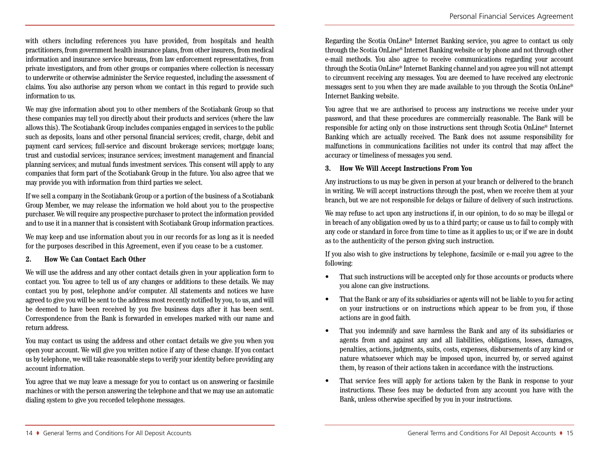with others including references you have provided, from hospitals and health practitioners, from government health insurance plans, from otherinsurers, from medical information and insurance service bureaus, from law enforcement representatives, from private investigators, and from other groups or companies where collection is necessary to underwrite or otherwise administer the Service requested, including the assessment of claims. You also authorise any person whom we contact in this regard to provide such information to us.

We may give information about you to other members of the Scotiabank Group so that these companies may tell you directly about their products and services (where the law allowsthis). The Scotiabank Group includes companies engaged in servicesto the public such as deposits, loans and other personal financial services; credit, charge, debit and payment card services; full-service and discount brokerage services; mortgage loans; trust and custodial services; insurance services; investment management and financial planning services; and mutual funds investment services. This consent will apply to any companies that form part of the Scotiabank Group in the future. You also agree that we may provide you with information from third parties we select.

If we sell a companyin the Scotiabank Group or a portion of the business of a Scotiabank Group Member, we may release the information we hold about you to the prospective purchaser. We will require any prospective purchaser to protect the information provided and to use it in a manner that is consistent with Scotiabank Group information practices.

We may keep and use information about you in our records for as long as it is needed for the purposes described in this Agreement, even if you cease to be a customer.

#### **2. How We Can Contact Each Other**

We will use the address and any other contact details given in your application form to contact you. You agree to tell us of any changes or additions to these details. We may contact you by post, telephone and/or computer. All statements and notices we have agreed to give you will be sent to the address most recently notified byyou, to us, and will be deemed to have been received by you five business days after it has been sent. Correspondence from the Bank is forwarded in envelopes marked with our name and return address.

You may contact us using the address and other contact details we give you when you open your account. We will give you written notice if any of these change. If you contact us by telephone, we will take reasonable steps to verify your identity before providing any account information.

You agree that we may leave a message for you to contact us on answering or facsimile machines or with the person answering the telephone and that we may use an automatic dialing system to give you recorded telephone messages.

Regarding the Scotia OnLine\* Internet Banking service, you agree to contact us only through the Scotia OnLine\* Internet Banking website or by phone and not through other e-mail methods. You also agree to receive communications regarding your account through the Scotia OnLine\* Internet Banking channel and you agree you will not attempt to circumvent receiving any messages. You are deemed to have received any electronic messages sent to you when they are made available to you through the Scotia OnLine\* Internet Banking website.

You agree that we are authorised to process any instructions we receive under your password, and that these procedures are commercially reasonable. The Bank will be responsible for acting only on those instructions sent through Scotia OnLine\* Internet Banking which are actually received. The Bank does not assume responsibility for malfunctions in communications facilities not under its control that may affect the accuracy or timeliness of messages you send.

#### **3. How We Will Accept Instructions From You**

Any instructions to us may be given in person at your branch or delivered to the branch in writing. We will accept instructions through the post, when we receive them at your branch, but we are not responsible for delays or failure of delivery of such instructions.

We may refuse to act upon any instructions if, in our opinion, to do so may be illegal or in breach of any obligation owed by us to a third party; or cause us to fail to comply with any code or standard in force from time to time as it applies to us; or if we are in doubt as to the authenticity of the person giving such instruction.

If you also wish to give instructions by telephone, facsimile or e-mail you agree to the following:

- That such instructions will be accepted only for those accounts or products where you alone can give instructions.
- That the Bank or any of its subsidiaries or agents will not be liable to you for acting on your instructions or on instructions which appear to be from you, if those actions are in good faith.
- That you indemnify and save harmless the Bank and any of its subsidiaries or agents from and against any and all liabilities, obligations, losses, damages, penalties, actions, judgments, suits, costs, expenses, disbursements of any kind or nature whatsoever which may be imposed upon, incurred by, or served against them, by reason of their actions taken in accordance with the instructions.
- That service fees will apply for actions taken by the Bank in response to your instructions. These fees may be deducted from any account you have with the Bank, unless otherwise specified by you in your instructions.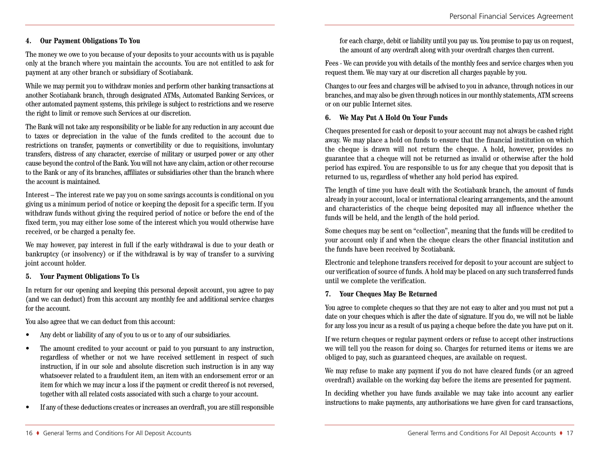#### **4. Our Payment Obligations To You**

The money we owe to you because of your deposits to your accounts with us is payable only at the branch where you maintain the accounts. You are not entitled to ask for payment at any other branch or subsidiary of Scotiabank.

While we may permit you to withdraw monies and perform other banking transactions at another Scotiabank branch, through designated ATMs, Automated Banking Services, or other automated payment systems, this privilege is subject to restrictions and we reserve the right to limit or remove such Services at our discretion.

The Bank will not take anyresponsibility or be liable for anyreduction in any account due to taxes or depreciation in the value of the funds credited to the account due to restrictions on transfer, payments or convertibility or due to requisitions, involuntary transfers, distress of any character, exercise of military or usurped power or any other cause beyond the control of the Bank. You will not have any claim, action or other recourse to the Bank or any of its branches, affiliates or subsidiaries other than the branch where the account is maintained.

Interest – The interest rate we pay you on some savings accounts is conditional on you giving us a minimum period of notice or keeping the deposit for a specific term. If you withdraw funds without giving the required period of notice or before the end of the fixed term, you may either lose some of the interest which you would otherwise have received, or be charged a penalty fee.

We may however, pay interest in full if the early withdrawal is due to your death or bankruptcy (or insolvency) or if the withdrawal is by way of transfer to a surviving joint account holder.

#### **5. Your Payment Obligations To Us**

In return for our opening and keeping this personal deposit account, you agree to pay (and we can deduct) from this account any monthly fee and additional service charges for the account.

You also agree that we can deduct from this account:

- Any debt or liability of any of you to us or to any of our subsidiaries.
- The amount credited to your account or paid to you pursuant to any instruction, regardless of whether or not we have received settlement in respect of such instruction, if in our sole and absolute discretion such instruction is in any way whatsoever related to a fraudulent item, an item with an endorsement error or an item for which we may incur a loss if the payment or credit thereof is not reversed, together with all related costs associated with such a charge to your account.
- If any of these deductions creates or increases an overdraft, you are still responsible

for each charge, debit or liability until you pay us. You promise to pay us on request, the amount of any overdraft along with your overdraft charges then current.

Fees - We can provide you with details of the monthly fees and service charges when you request them. We may vary at our discretion all charges payable by you.

Changes to our fees and charges will be advised to you in advance, through notices in our branches, and may also be given through noticesin our monthlystatements, ATM screens or on our public Internet sites.

#### **6. We May Put A Hold On Your Funds**

Cheques presented for cash or deposit to your account may not always be cashed right away. We may place a hold on funds to ensure that the financial institution on which the cheque is drawn will not return the cheque. A hold, however, provides no guarantee that a cheque will not be returned as invalid or otherwise after the hold period has expired. You are responsible to us for any cheque that you deposit that is returned to us, regardless of whether any hold period has expired.

The length of time you have dealt with the Scotiabank branch, the amount of funds already in your account, local or international clearing arrangements, and the amount and characteristics of the cheque being deposited may all influence whether the funds will be held, and the length of the hold period.

Some cheques may be sent on "collection", meaning that the funds will be credited to your account only if and when the cheque clears the other financial institution and the funds have been received by Scotiabank.

Electronic and telephone transfers received for deposit to your account are subject to our verification of source of funds. A hold may be placed on any such transferred funds until we complete the verification.

#### **7. Your Cheques May Be Returned**

You agree to complete cheques so that they are not easy to alter and you must not put a date on your cheques which is after the date of signature. If you do, we will not be liable for any loss you incur as a result of us paying a cheque before the date you have put on it.

If we return cheques or regular payment orders or refuse to accept other instructions we will tell you the reason for doing so. Charges for returned items or items we are obliged to pay, such as guaranteed cheques, are available on request.

We may refuse to make any payment if you do not have cleared funds (or an agreed overdraft) available on the working day before the items are presented for payment.

In deciding whether you have funds available we may take into account any earlier instructions to make payments, any authorisations we have given for card transactions,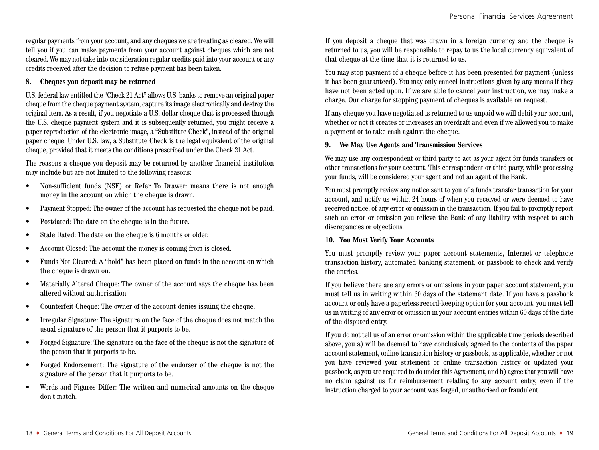regular paymentsfrom your account, and any cheques we are treating as cleared. We will tell you if you can make payments from your account against cheques which are not cleared. We may not take into consideration regular credits paid into your account or any credits received after the decision to refuse payment has been taken.

#### **8. Cheques you deposit may be returned**

U.S. federal law entitled the "Check 21 Act" allows U.S. banksto remove an original paper cheque from the cheque payment system, capture its image electronically and destroy the original item. As a result, if you negotiate a U.S. dollar cheque that is processed through the U.S. cheque payment system and it is subsequently returned, you might receive a paper reproduction of the electronic image, a "Substitute Check", instead of the original paper cheque. Under U.S. law, a Substitute Check is the legal equivalent of the original cheque, provided that it meets the conditions prescribed under the Check 21 Act.

The reasons a cheque you deposit may be returned by another financial institution may include but are not limited to the following reasons:

- Non-sufficient funds (NSF) or Refer To Drawer: means there is not enough money in the account on which the cheque is drawn.
- Payment Stopped: The owner of the account has requested the cheque not be paid.
- Postdated: The date on the cheque is in the future.
- Stale Dated: The date on the cheque is 6 months or older.
- Account Closed: The account the money is coming from is closed.
- Funds Not Cleared: A "hold" has been placed on funds in the account on which the cheque is drawn on.
- Materially Altered Cheque: The owner of the account says the cheque has been altered without authorisation.
- Counterfeit Cheque: The owner of the account denies issuing the cheque.
- Irregular Signature: The signature on the face of the cheque does not match the usual signature of the person that it purports to be.
- Forged Signature: The signature on the face of the cheque is not the signature of the person that it purports to be.
- Forged Endorsement: The signature of the endorser of the cheque is not the signature of the person that it purports to be.
- Words and Figures Differ: The written and numerical amounts on the cheque don't match.

If you deposit a cheque that was drawn in a foreign currency and the cheque is returned to us, you will be responsible to repay to us the local currency equivalent of that cheque at the time that it is returned to us.

You may stop payment of a cheque before it has been presented for payment (unless it has been guaranteed). You may only cancel instructions given by any means if they have not been acted upon. If we are able to cancel your instruction, we may make a charge. Our charge for stopping payment of cheques is available on request.

If any cheque you have negotiated is returned to us unpaid we will debit your account, whether or not it creates or increases an overdraft and even if we allowed you to make a payment or to take cash against the cheque.

#### **9. We May Use Agents and Transmission Services**

We may use any correspondent or third party to act as your agent for funds transfers or other transactions for your account. This correspondent or third party, while processing your funds, will be considered your agent and not an agent of the Bank.

You must promptly review any notice sent to you of a funds transfer transaction for your account, and notify us within 24 hours of when you received or were deemed to have received notice, of any error or omission in the transaction. If you fail to promptly report such an error or omission you relieve the Bank of any liability with respect to such discrepancies or objections.

#### **10. You Must Verify Your Accounts**

You must promptly review your paper account statements, Internet or telephone transaction history, automated banking statement, or passbook to check and verify the entries.

If you believe there are any errors or omissions in your paper account statement, you must tell us in writing within 30 days of the statement date. If you have a passbook account or only have a paperless record-keeping option for your account, you must tell us in writing of any error or omission in your account entries within 60 days of the date of the disputed entry.

If you do not tell us of an error or omission within the applicable time periods described above, you a) will be deemed to have conclusively agreed to the contents of the paper account statement, online transaction history or passbook, as applicable, whether or not you have reviewed your statement or online transaction history or updated your passbook, asyou are required to do underthis Agreement, and b) agree thatyou will have no claim against us for reimbursement relating to any account entry, even if the instruction charged to your account was forged, unauthorised or fraudulent.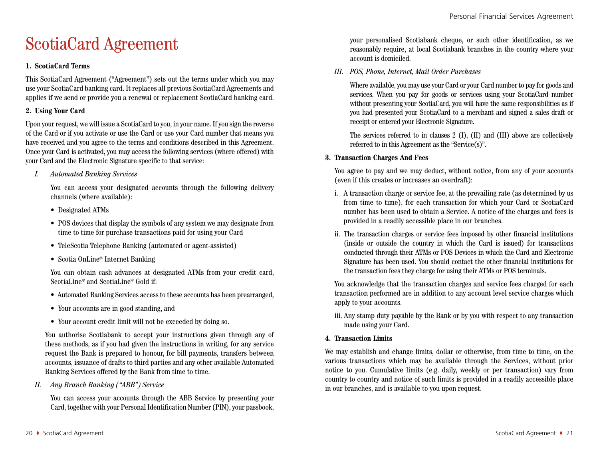# ScotiaCard Agreement

#### **1. ScotiaCard Terms**

This ScotiaCard Agreement ("Agreement") sets out the terms under which you may use your ScotiaCard banking card. It replaces all previous ScotiaCard Agreements and applies if we send or provide you a renewal or replacement ScotiaCard banking card.

#### **2. Using Your Card**

Upon your request, we will issue a ScotiaCard to you, in your name. If you sign the reverse of the Card or if you activate or use the Card or use your Card number that means you have received and you agree to the terms and conditions described in this Agreement. Once your Card is activated, you may access the following services (where offered) with your Card and the Electronic Signature specific to that service:

*I. Automated Banking Services*

You can access your designated accounts through the following delivery channels (where available):

- Designated ATMs
- POS devices that display the symbols of any system we may designate from time to time for purchase transactions paid for using your Card
- TeleScotia Telephone Banking (automated or agent-assisted)
- Scotia OnLine\* Internet Banking

You can obtain cash advances at designated ATMs from your credit card, ScotiaLine\* and ScotiaLine\* Gold if:

- Automated Banking Services access to these accounts has been prearranged,
- Your accounts are in good standing, and
- Your account credit limit will not be exceeded by doing so.

You authorise Scotiabank to accept your instructions given through any of these methods, as if you had given the instructions in writing, for any service request the Bank is prepared to honour, for bill payments, transfers between accounts, issuance of drafts to third parties and any other available Automated Banking Services offered by the Bank from time to time.

*II. Any Branch Banking ("ABB") Service*

You can access your accounts through the ABB Service by presenting your Card, together with your Personal Identification Number (PIN), your passbook,

your personalised Scotiabank cheque, or such other identification, as we reasonably require, at local Scotiabank branches in the country where your account is domiciled.

*III. POS, Phone, Internet, Mail Order Purchases*

Where available, you may use your Card or your Card number to pay for goods and services. When you pay for goods or services using your ScotiaCard number without presenting your ScotiaCard, you will have the same responsibilities as if you had presented your ScotiaCard to a merchant and signed a sales draft or receipt or entered your Electronic Signature.

The services referred to in clauses 2 (I), (II) and (III) above are collectively referred to in this Agreement as the "Service(s)".

#### **3. Transaction Charges And Fees**

You agree to pay and we may deduct, without notice, from any of your accounts (even if this creates or increases an overdraft):

- i. A transaction charge or service fee, at the prevailing rate (as determined by us from time to time), for each transaction for which your Card or ScotiaCard number has been used to obtain a Service. A notice of the charges and fees is provided in a readily accessible place in our branches.
- ii. The transaction charges or service fees imposed by other financial institutions (inside or outside the country in which the Card is issued) for transactions conducted through their ATMs or POS Devices in which the Card and Electronic Signature has been used. You should contact the other financial institutions for the transaction fees they charge for using their ATMs or POS terminals.

You acknowledge that the transaction charges and service fees charged for each transaction performed are in addition to any account level service charges which apply to your accounts.

iii. Any stamp duty payable by the Bank or by you with respect to any transaction made using your Card.

#### **4. Transaction Limits**

We may establish and change limits, dollar or otherwise, from time to time, on the various transactions which may be available through the Services, without prior notice to you. Cumulative limits (e.g. daily, weekly or per transaction) vary from country to country and notice of such limits is provided in a readily accessible place in our branches, and is available to you upon request.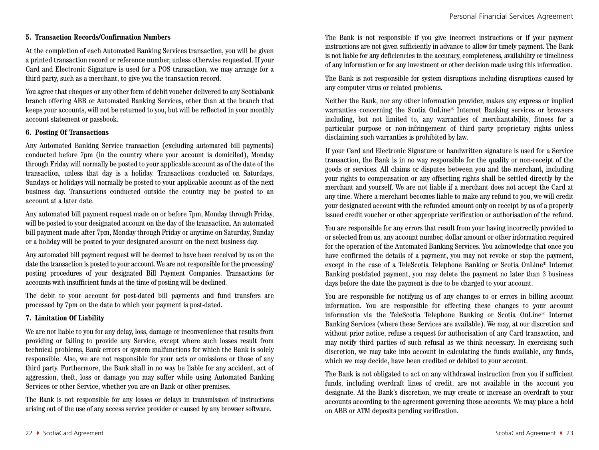#### **5. Transaction Records/Confirmation Numbers**

At the completion of each Automated Banking Services transaction, you will be given a printed transaction record or reference number, unless otherwise requested. If your Card and Electronic Signature is used for a POS transaction, we may arrange for a third party, such as a merchant, to give you the transaction record.

You agree that cheques or any other form of debit voucher delivered to any Scotiabank branch offering ABB or Automated Banking Services, other than at the branch that keeps your accounts, will not be returned to you, but will be reflected in your monthly account statement or passbook.

#### **6. Posting Of Transactions**

Any Automated Banking Service transaction (excluding automated bill payments) conducted before 7pm (in the country where your account is domiciled), Monday through Friday will normally be posted to your applicable account as of the date of the transaction, unless that day is a holiday. Transactions conducted on Saturdays, Sundays or holidays will normally be posted to your applicable account as of the next business day. Transactions conducted outside the country may be posted to an account at a later date.

Any automated bill payment request made on or before 7pm, Monday through Friday, will be posted to your designated account on the day of the transaction. An automated bill payment made after 7pm, Monday through Friday or anytime on Saturday, Sunday or a holiday will be posted to your designated account on the next business day.

Any automated bill payment request will be deemed to have been received by us on the date the transaction is posted to your account. We are not responsible for the processing/ posting procedures of your designated Bill Payment Companies. Transactions for accounts with insufficient funds at the time of posting will be declined.

The debit to your account for post-dated bill payments and fund transfers are processed by 7pm on the date to which your payment is post-dated.

#### **7. Limitation Of Liability**

We are not liable to you for any delay, loss, damage or inconvenience that results from providing or failing to provide any Service, except where such losses result from technical problems, Bank errors or system malfunctions for which the Bank is solely responsible. Also, we are not responsible for your acts or omissions or those of any third party. Furthermore, the Bank shall in no way be liable for any accident, act of aggression, theft, loss or damage you may suffer while using Automated Banking Services or other Service, whether you are on Bank or other premises.

The Bank is not responsible for any losses or delays in transmission of instructions arising out of the use of any access service provider or caused by any browser software.

The Bank is not responsible if you give incorrect instructions or if your payment instructions are not given sufficiently in advance to allow for timely payment. The Bank is not liable for any deficiencies in the accuracy, completeness, availability or timeliness of any information or for any investment or other decision made using this information.

The Bank is not responsible for system disruptions including disruptions caused by any computer virus or related problems.

Neither the Bank, nor any other information provider, makes any express or implied warranties concerning the Scotia OnLine\* Internet Banking services or browsers including, but not limited to, any warranties of merchantability, fitness for a particular purpose or non-infringement of third party proprietary rights unless disclaiming such warranties is prohibited by law.

If your Card and Electronic Signature or handwritten signature is used for a Service transaction, the Bank is in no way responsible for the quality or non-receipt of the goods or services. All claims or disputes between you and the merchant, including your rights to compensation or any offsetting rights shall be settled directly by the merchant and yourself. We are not liable if a merchant does not accept the Card at any time. Where a merchant becomes liable to make any refund to you, we will credit your designated account with the refunded amount only on receipt by us of a properly issued credit voucher or other appropriate verification or authorisation of the refund.

You are responsible for any errors that result from your having incorrectly provided to or selected from us, any account number, dollar amount or other information required for the operation of the Automated Banking Services. You acknowledge that once you have confirmed the details of a payment, you may not revoke or stop the payment, except in the case of a TeleScotia Telephone Banking or Scotia OnLine\* Internet Banking postdated payment, you may delete the payment no later than 3 business days before the date the payment is due to be charged to your account.

You are responsible for notifying us of any changes to or errors in billing account information. You are responsible for effecting these changes to your account information via the TeleScotia Telephone Banking or Scotia OnLine\* Internet Banking Services (where these Services are available). We may, at our discretion and without prior notice, refuse a request for authorisation of any Card transaction, and may notify third parties of such refusal as we think necessary. In exercising such discretion, we may take into account in calculating the funds available, any funds, which we may decide, have been credited or debited to your account.

The Bank is not obligated to act on any withdrawal instruction from you if sufficient funds, including overdraft lines of credit, are not available in the account you designate. At the Bank's discretion, we may create or increase an overdraft to your accounts according to the agreement governing those accounts. We may place a hold on ABB or ATM deposits pending verification.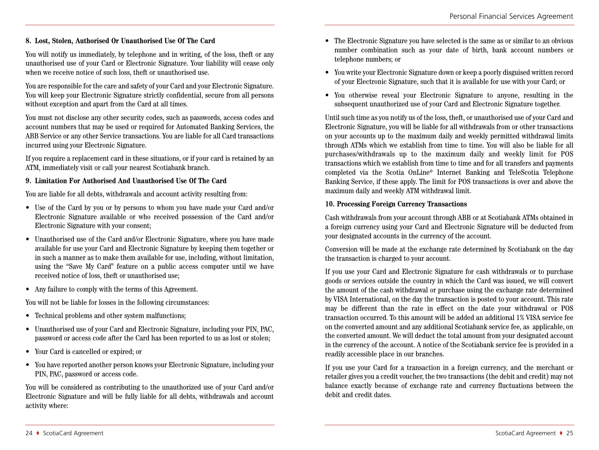#### **8. Lost, Stolen, Authorised Or Unauthorised Use Of The Card**

You will notify us immediately, by telephone and in writing, of the loss, theft or any unauthorised use of your Card or Electronic Signature. Your liability will cease only when we receive notice of such loss, theft or unauthorised use.

You are responsible for the care and safety of your Card and your Electronic Signature. You will keep your Electronic Signature strictly confidential, secure from all persons without exception and apart from the Card at all times.

You must not disclose any other security codes, such as passwords, access codes and account numbers that may be used or required for Automated Banking Services, the ABB Service or any other Service transactions. You are liable for all Card transactions incurred using your Electronic Signature.

If you require a replacement card in these situations, or if your card is retained by an ATM, immediately visit or call your nearest Scotiabank branch.

#### **9. Limitation For Authorised And Unauthorised Use Of The Card**

You are liable for all debts, withdrawals and account activity resulting from:

- Use of the Card by you or by persons to whom you have made your Card and/or Electronic Signature available or who received possession of the Card and/or Electronic Signature with your consent;
- Unauthorised use of the Card and/or Electronic Signature, where you have made available for use your Card and Electronic Signature by keeping them together or in such a manner as to make them available for use, including, without limitation, using the "Save My Card" feature on a public access computer until we have received notice of loss, theft or unauthorised use;
- Any failure to comply with the terms of this Agreement.

You will not be liable for losses in the following circumstances:

- Technical problems and other system malfunctions;
- Unauthorised use of your Card and Electronic Signature, including your PIN, PAC, password or access code after the Card has been reported to us as lost or stolen;
- Your Card is cancelled or expired; or
- You have reported another person knows your Electronic Signature, including your PIN, PAC, password or access code.

You will be considered as contributing to the unauthorized use of your Card and/or Electronic Signature and will be fully liable for all debts, withdrawals and account activity where:

- The Electronic Signature you have selected is the same as or similar to an obvious number combination such as your date of birth, bank account numbers or telephone numbers; or
- You write your Electronic Signature down or keep a poorly disguised written record of your Electronic Signature, such that it is available for use with your Card; or
- You otherwise reveal your Electronic Signature to anyone, resulting in the subsequent unauthorized use of your Card and Electronic Signature together.

Until such time as you notify us of the loss, theft, or unauthorised use of your Card and Electronic Signature, you will be liable for all withdrawals from or other transactions on your accounts up to the maximum daily and weekly permitted withdrawal limits through ATMs which we establish from time to time. You will also be liable for all purchases/withdrawals up to the maximum daily and weekly limit for POS transactions which we establish from time to time and for all transfers and payments completed via the Scotia OnLine\* Internet Banking and TeleScotia Telephone Banking Service, if these apply. The limit for POS transactions is over and above the maximum daily and weekly ATM withdrawal limit.

#### **10. Processing Foreign Currency Transactions**

Cash withdrawals from your account through ABB or at Scotiabank ATMs obtained in a foreign currency using your Card and Electronic Signature will be deducted from your designated accounts in the currency of the account.

Conversion will be made at the exchange rate determined by Scotiabank on the day the transaction is charged to your account.

If you use your Card and Electronic Signature for cash withdrawals or to purchase goods or services outside the country in which the Card was issued, we will convert the amount of the cash withdrawal or purchase using the exchange rate determined by VISA International, on the day the transaction is posted to your account. This rate may be different than the rate in effect on the date your withdrawal or POS transaction occurred. To this amount will be added an additional 1% VISA service fee on the converted amount and any additional Scotiabank service fee, as applicable, on the converted amount. We will deduct the total amount from your designated account in the currency of the account. A notice of the Scotiabank service fee is provided in a readily accessible place in our branches.

If you use your Card for a transaction in a foreign currency, and the merchant or retailer gives you a credit voucher, the two transactions (the debit and credit) may not balance exactly because of exchange rate and currency fluctuations between the debit and credit dates.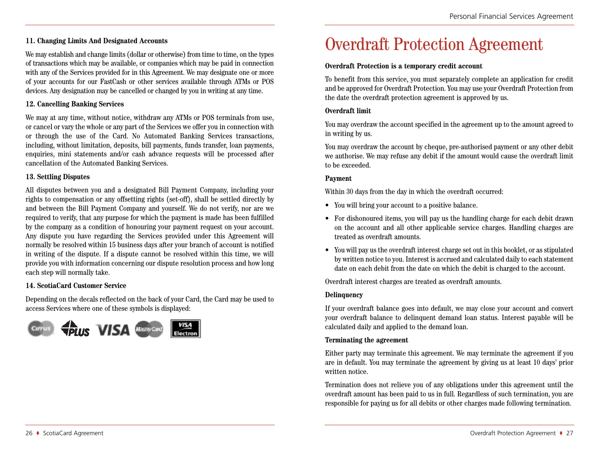#### **11. Changing Limits And Designated Accounts**

We may establish and change limits (dollar or otherwise) from time to time, on the types of transactions which may be available, or companies which may be paid in connection with any of the Services provided for in this Agreement. We may designate one or more of your accounts for our FastCash or other services available through ATMs or POS devices. Any designation may be cancelled or changed by you in writing at any time.

#### **12. Cancelling Banking Services**

We may at any time, without notice, withdraw any ATMs or POS terminals from use, or cancel or vary the whole or any part of the Services we offer you in connection with or through the use of the Card. No Automated Banking Services transactions, including, without limitation, deposits, bill payments, funds transfer, loan payments, enquiries, mini statements and/or cash advance requests will be processed after cancellation of the Automated Banking Services.

#### **13. Settling Disputes**

All disputes between you and a designated Bill Payment Company, including your rights to compensation or any offsetting rights (set-off), shall be settled directly by and between the Bill Payment Company and yourself. We do not verify, nor are we required to verify, that any purpose for which the payment is made has been fulfilled by the company as a condition of honouring your payment request on your account. Any dispute you have regarding the Services provided under this Agreement will normally be resolved within 15 business days after your branch of account is notified in writing of the dispute. If a dispute cannot be resolved within this time, we will provide you with information concerning our dispute resolution process and how long each step will normally take.

#### **14. ScotiaCard Customer Service**

Depending on the decals reflected on the back of your Card, the Card may be used to access Services where one of these symbols is displayed:



## Overdraft Protection Agreement

#### **Overdraft Protection is a temporary credit account**

To benefit from this service, you must separately complete an application for credit and be approved for Overdraft Protection. You may use your Overdraft Protection from the date the overdraft protection agreement is approved by us.

#### **Overdraft limit**

You may overdraw the account specified in the agreement up to the amount agreed to in writing by us.

You may overdraw the account by cheque, pre-authorised payment or any other debit we authorise. We may refuse any debit if the amount would cause the overdraft limit to be exceeded.

#### **Payment**

Within 30 days from the day in which the overdraft occurred:

- You will bring your account to a positive balance.
- For dishonoured items, you will pay us the handling charge for each debit drawn on the account and all other applicable service charges. Handling charges are treated as overdraft amounts.
- You will pay us the overdraft interest charge set out in this booklet, or as stipulated by written notice to you. Interest is accrued and calculated daily to each statement date on each debit from the date on which the debit is charged to the account.

Overdraft interest charges are treated as overdraft amounts.

#### **Delinquency**

If your overdraft balance goes into default, we may close your account and convert your overdraft balance to delinquent demand loan status. Interest payable will be calculated daily and applied to the demand loan.

#### **Terminating the agreement**

Either party may terminate this agreement. We may terminate the agreement if you are in default. You may terminate the agreement by giving us at least 10 days' prior written notice.

Termination does not relieve you of any obligations under this agreement until the overdraft amount has been paid to us in full. Regardless of such termination, you are responsible for paying us for all debits or other charges made following termination.